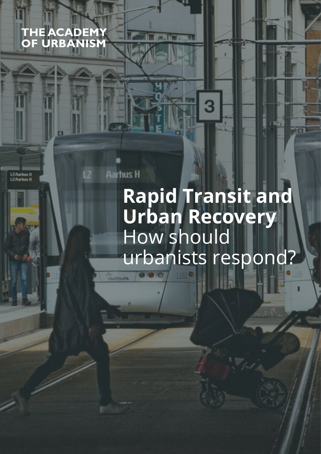# **THE ACADEMY<br>OF URBANISM**

**Aarhus H** 

**L2 Aartus II**<br>L2 Aartus II

# **Rapid Transit and Urban Recovery** How should urbanists respond?en<br>midttrafik

3

त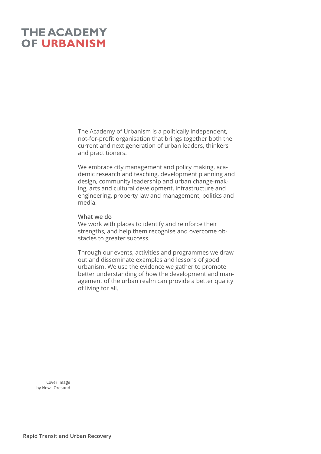# **THE ACADEMY OF URBANISM**

The Academy of Urbanism is a politically independent, not-for-profit organisation that brings together both the current and next generation of urban leaders, thinkers and practitioners.

We embrace city management and policy making, academic research and teaching, development planning and design, community leadership and urban change-making, arts and cultural development, infrastructure and engineering, property law and management, politics and media.

## **What we do**

We work with places to identify and reinforce their strengths, and help them recognise and overcome obstacles to greater success.

Through our events, activities and programmes we draw out and disseminate examples and lessons of good urbanism. We use the evidence we gather to promote better understanding of how the development and management of the urban realm can provide a better quality of living for all.

Cover image by News Oresund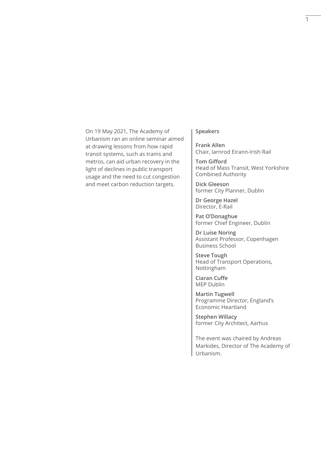On 19 May 2021, The Academy of Urbanism ran an online seminar aimed at drawing lessons from how rapid transit systems, such as trams and metros, can aid urban recovery in the light of declines in public transport usage and the need to cut congestion and meet carbon reduction targets.

### **Speakers**

**Frank Allen** Chair, Iarnrod Eirann-Irish Rail

**Tom Gifford** Head of Mass Transit, West Yorkshire Combined Authority

**Dick Gleeson** former City Planner, Dublin

**Dr George Hazel** Director, E-Rail

**Pat O'Donaghue** former Chief Engineer, Dublin

**Dr Luise Noring** Assistant Professor, Copenhagen Business School

**Steve Tough**  Head of Transport Operations, Nottingham

**Ciaran Cuffe**  MEP Dublin

**Martin Tugwell** Programme Director, England's Economic Heartland

**Stephen Willacy** former City Architect, Aarhus

The event was chaired by Andreas Markides, Director of The Academy of Urbanism.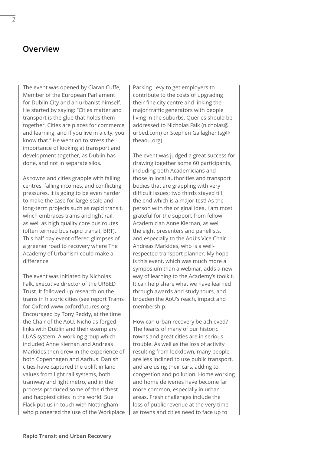# **Overview**

The event was opened by Ciaran Cuffe, Member of the European Parliament for Dublin City and an urbanist himself. He started by saying: ''Cities matter and transport is the glue that holds them together. Cities are places for commerce and learning, and if you live in a city, you know that.'' He went on to stress the importance of looking at transport and development together, as Dublin has done, and not in separate silos.

As towns and cities grapple with failing centres, falling incomes, and conflicting pressures, it is going to be even harder to make the case for large-scale and long-term projects such as rapid transit, which embraces trams and light rail, as well as high quality core bus routes (often termed bus rapid transit, BRT). This half day event offered glimpses of a greener road to recovery where The Academy of Urbanism could make a difference.

The event was initiated by Nicholas Falk, executive director of the URBED Trust. It followed up research on the trams in historic cities (see report Trams for Oxford www.oxfordfutures.org. Encouraged by Tony Reddy, at the time the Chair of the AoU, Nicholas forged links with Dublin and their exemplary LUAS system. A working group which included Anne Kiernan and Andreas Markides then drew in the experience of both Copenhagen and Aarhus. Danish cities have captured the uplift in land values from light rail systems, both tramway and light metro, and in the process produced some of the richest and happiest cities in the world. Sue Flack put us in touch with Nottingham who pioneered the use of the Workplace Parking Levy to get employers to contribute to the costs of upgrading their fine city centre and linking the major traffic generators with people living in the suburbs. Queries should be addressed to Nicholas Falk (nicholas@ urbed.com) or Stephen Gallagher (sg@ theaou.org).

The event was judged a great success for drawing together some 60 participants, including both Academicians and those in local authorities and transport bodies that are grappling with very difficult issues; two thirds stayed till the end which is a major test! As the person with the original idea, I am most grateful for the support from fellow Academician Anne Kiernan, as well the eight presenters and panellists, and especially to the AoU's Vice Chair Andreas Markides, who is a wellrespected transport planner. My hope is this event, which was much more a symposium than a webinar, adds a new way of learning to the Academy's toolkit. It can help share what we have learned through awards and study tours, and broaden the AoU's reach, impact and membership.

How can urban recovery be achieved? The hearts of many of our historic towns and great cities are in serious trouble. As well as the loss of activity resulting from lockdown, many people are less inclined to use public transport, and are using their cars, adding to congestion and pollution. Home working and home deliveries have become far more common, especially in urban areas. Fresh challenges include the loss of public revenue at the very time as towns and cities need to face up to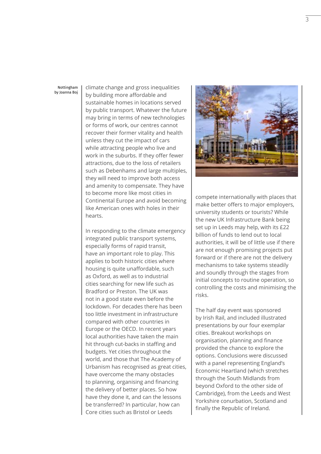Nottingham by Joanna Boj

climate change and gross inequalities by building more affordable and sustainable homes in locations served by public transport. Whatever the future may bring in terms of new technologies or forms of work, our centres cannot recover their former vitality and health unless they cut the impact of cars while attracting people who live and work in the suburbs. If they offer fewer attractions, due to the loss of retailers such as Debenhams and large multiples, they will need to improve both access and amenity to compensate. They have to become more like most cities in Continental Europe and avoid becoming like American ones with holes in their hearts.

In responding to the climate emergency integrated public transport systems, especially forms of rapid transit, have an important role to play. This applies to both historic cities where housing is quite unaffordable, such as Oxford, as well as to industrial cities searching for new life such as Bradford or Preston. The UK was not in a good state even before the lockdown. For decades there has been too little investment in infrastructure compared with other countries in Europe or the OECD. In recent years local authorities have taken the main hit through cut-backs in staffing and budgets. Yet cities throughout the world, and those that The Academy of Urbanism has recognised as great cities, have overcome the many obstacles to planning, organising and financing the delivery of better places. So how have they done it, and can the lessons be transferred? In particular, how can Core cities such as Bristol or Leeds



compete internationally with places that make better offers to major employers, university students or tourists? While the new UK Infrastructure Bank being set up in Leeds may help, with its £22 billion of funds to lend out to local authorities, it will be of little use if there are not enough promising projects put forward or if there are not the delivery mechanisms to take systems steadily and soundly through the stages from initial concepts to routine operation, so controlling the costs and minimising the risks.

The half day event was sponsored by Irish Rail, and included illustrated presentations by our four exemplar cities. Breakout workshops on organisation, planning and finance provided the chance to explore the options. Conclusions were discussed with a panel representing England's Economic Heartland (which stretches through the South Midlands from beyond Oxford to the other side of Cambridge), from the Leeds and West Yorkshire conurbation, Scotland and finally the Republic of Ireland.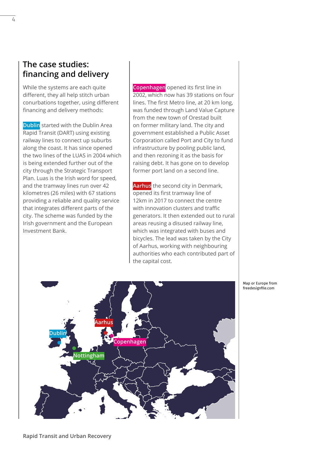# **The case studies: financing and delivery**

While the systems are each quite different, they all help stitch urban conurbations together, using different financing and delivery methods:

**Dublin** started with the Dublin Area Rapid Transit (DART) using existing railway lines to connect up suburbs along the coast. It has since opened the two lines of the LUAS in 2004 which is being extended further out of the city through the Strategic Transport Plan. Luas is the Irish word for speed, and the tramway lines run over 42 kilometres (26 miles) with 67 stations providing a reliable and quality service that integrates different parts of the city. The scheme was funded by the Irish government and the European Investment Bank.

**Copenhagen** opened its first line in 2002, which now has 39 stations on four lines. The first Metro line, at 20 km long, was funded through Land Value Capture from the new town of Orestad built on former military land. The city and government established a Public Asset Corporation called Port and City to fund infrastructure by pooling public land, and then rezoning it as the basis for raising debt. It has gone on to develop former port land on a second line.

**Aarhus** the second city in Denmark, opened its first tramway line of 12km in 2017 to connect the centre with innovation clusters and traffic generators. It then extended out to rural areas reusing a disused railway line, which was integrated with buses and bicycles. The lead was taken by the City of Aarhus, working with neighbouring authorities who each contributed part of the capital cost.



Map or Europe from freedesignfile.com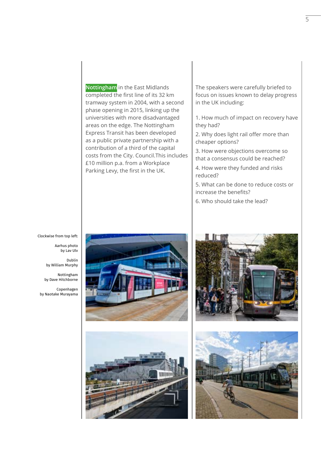**Nottingham** in the East Midlands completed the first line of its 32 km tramway system in 2004, with a second phase opening in 2015, linking up the universities with more disadvantaged areas on the edge. The Nottingham Express Transit has been developed as a public private partnership with a contribution of a third of the capital costs from the City. Council.This includes £10 million p.a. from a Workplace Parking Levy, the first in the UK.

The speakers were carefully briefed to focus on issues known to delay progress in the UK including:

1. How much of impact on recovery have they had?

2. Why does light rail offer more than cheaper options?

3. How were objections overcome so that a consensus could be reached?

4. How were they funded and risks reduced?

5. What can be done to reduce costs or increase the benefits?

6. Who should take the lead?

Clockwise from top left:

Aarhus photo by Lav Ulv

Dublin by William Murphy

Nottingham by Dave Hitchborne

Copenhagen by Naotake Murayama







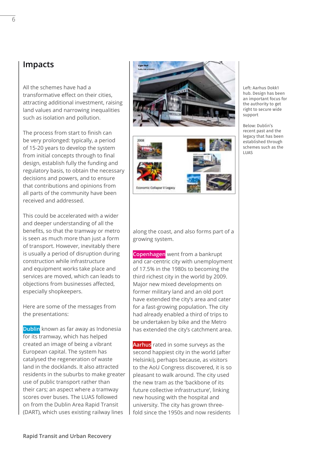# **Impacts**

All the schemes have had a transformative effect on their cities, attracting additional investment, raising land values and narrowing inequalities such as isolation and pollution.

The process from start to finish can be very prolonged: typically, a period of 15-20 years to develop the system from initial concepts through to final design, establish fully the funding and regulatory basis, to obtain the necessary decisions and powers, and to ensure that contributions and opinions from all parts of the community have been received and addressed.

This could be accelerated with a wider and deeper understanding of all the benefits, so that the tramway or metro is seen as much more than just a form of transport. However, inevitably there is usually a period of disruption during construction while infrastructure and equipment works take place and services are moved, which can leads to objections from businesses affected, especially shopkeepers.

Here are some of the messages from the presentations:

**Dublin** known as far away as Indonesia for its tramway, which has helped created an image of being a vibrant European capital. The system has catalysed the regeneration of waste land in the docklands. It also attracted residents in the suburbs to make greater use of public transport rather than their cars; an aspect where a tramway scores over buses. The LUAS followed on from the Dublin Area Rapid Transit (DART), which uses existing railway lines





along the coast, and also forms part of a growing system.

**Copenhagen** went from a bankrupt and car-centric city with unemployment of 17.5% in the 1980s to becoming the third richest city in the world by 2009. Major new mixed developments on former military land and an old port have extended the city's area and cater for a fast-growing population. The city had already enabled a third of trips to be undertaken by bike and the Metro has extended the city's catchment area.

**Aarhus** rated in some surveys as the second happiest city in the world (after Helsinki), perhaps because, as visitors to the AoU Congress discovered, it is so pleasant to walk around. The city used the new tram as the 'backbone of its future collective infrastructure', linking new housing with the hospital and university. The city has grown threefold since the 1950s and now residents

Left: Aarhus Dokk1 hub. Design has been an important focus for the authority to get right to secure wide support

Below: Dublin's recent past and the legacy that has been established through schemes such as the LUAS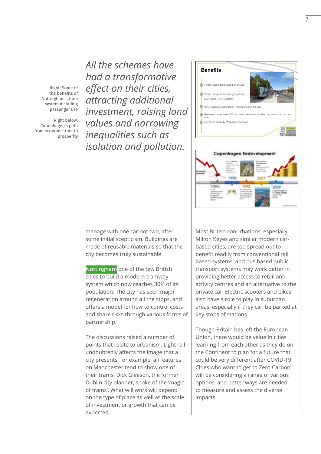Right: Some of the benefits of Nottingham's tram system including passenger use

Right below: Copenhagen's path from economic ruin to prosperity

*All the schemes have had a transformative effect on their cities, attracting additional investment, raising land values and narrowing inequalities such as isolation and pollution.*





manage with one car not two, after some initial scepticism. Buildings are made of reusable materials so that the city becomes truly sustainable.

**Nottingham** one of the few British cities to build a modern tramway system which now reaches 30% of its population. The city has seen major regeneration around all the stops, and offers a model for how to control costs and share risks through various forms of partnership.

The discussions raised a number of points that relate to urbanism. Light rail undoubtedly affects the image that a city presents; for example, all features on Manchester tend to show one of their trams. Dick Gleeson, the former Dublin city planner, spoke of the 'magic of trams'. What will work will depend on the type of place as well as the scale of investment or growth that can be expected.

Most British conurbations, especially Milton Keyes and similar modern carbased cities, are too spread out to benefit readily from conventional rail based systems, and bus based public transport systems may work better in providing better access to retail and activity centres and an alternative to the private car. Electric scooters and bikes also have a role to play in suburban areas, especially if they can be parked at key stops of stations.

Though Britain has left the European Union, there would be value in cities learning from each other as they do on the Continent to plan for a future that could be very different after COVID-19. Cities who want to get to Zero Carbon will be considering a range of various options, and better ways are needed to measure and assess the diverse impacts.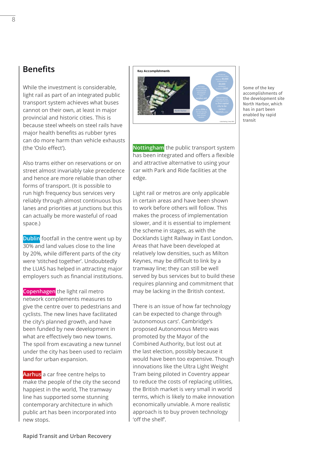While the investment is considerable, light rail as part of an integrated public transport system achieves what buses cannot on their own, at least in major provincial and historic cities. This is because steel wheels on steel rails have major health benefits as rubber tyres can do more harm than vehicle exhausts (the 'Oslo effect').

Also trams either on reservations or on street almost invariably take precedence and hence are more reliable than other forms of transport. (It is possible to run high frequency bus services very reliably through almost continuous bus lanes and priorities at junctions but this can actually be more wasteful of road space.)

**Dublin** footfall in the centre went up by 30% and land values close to the line by 20%, while different parts of the city were 'stitched together'. Undoubtedly the LUAS has helped in attracting major employers such as financial institutions.

**Copenhagen** the light rail metro network complements measures to give the centre over to pedestrians and cyclists. The new lines have facilitated the city's planned growth, and have been funded by new development in what are effectively two new towns. The spoil from excavating a new tunnel under the city has been used to reclaim land for urban expansion.

**Aarhus** a car free centre helps to make the people of the city the second happiest in the world, The tramway line has supported some stunning contemporary architecture in which public art has been incorporated into new stops.



**Nottingham** the public transport system has been integrated and offers a flexible and attractive alternative to using your car with Park and Ride facilities at the edge.

Light rail or metros are only applicable in certain areas and have been shown to work before others will follow. This makes the process of implementation slower, and it is essential to implement the scheme in stages, as with the Docklands Light Railway in East London. Areas that have been developed at relatively low densities, such as Milton Keynes, may be difficult to link by a tramway line; they can still be well served by bus services but to build these requires planning and commitment that may be lacking in the British context.

There is an issue of how far technology can be expected to change through 'autonomous cars'. Cambridge's proposed Autonomous Metro was promoted by the Mayor of the Combined Authority, but lost out at the last election, possibly because it would have been too expensive. Though innovations like the Ultra Light Weight Tram being piloted in Coventry appear to reduce the costs of replacing utilities, the British market is very small in world terms, which is likely to make innovation economically unviable. A more realistic approach is to buy proven technology 'off the shelf'.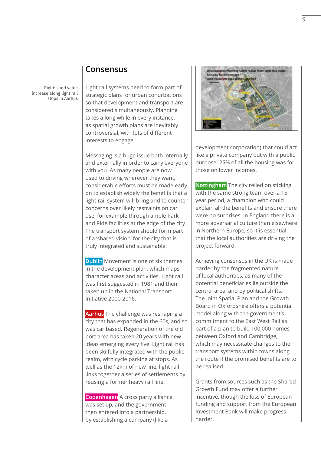## **Consensus**

Right: Land value increase along light rail stops in Aarhus

Light rail systems need to form part of strategic plans for urban conurbations so that development and transport are considered simultaneously. Planning takes a long while in every instance, as spatial growth plans are inevitably controversial, with lots of different interests to engage.

Messaging is a huge issue both internally and externally in order to carry everyone with you. As many people are now used to driving wherever they want, considerable efforts must be made early on to establish widely the benefits that a light rail system will bring and to counter concerns over likely restraints on car use, for example through ample Park and Ride facilities at the edge of the city. The transport system should form part of a 'shared vision' for the city that is truly integrated and sustainable:

**Dublin** Movement is one of six themes in the development plan, which maps character areas and activities. Light rail was first suggested in 1981 and then taken up in the National Transport Initiative 2000-2016.

**Aarhus** The challenge was reshaping a city that has expanded in the 60s, and so was car based. Regeneration of the old port area has taken 20 years with new ideas emerging every five. Light rail has been skilfully integrated with the public realm, with cycle parking at stops. As well as the 12km of new line, light rail links together a series of settlements by reusing a former heavy rail line.

**Copenhagen** A cross party alliance was set up, and the government then entered into a partnership, by establishing a company (like a



development corporation) that could act like a private company but with a public purpose. 25% of all the housing was for those on lower incomes.

**Nottingham** The city relied on sticking with the same strong team over a 15 year period, a champion who could explain all the benefits and ensure there were no surprises. In England there is a more adversarial culture than elsewhere in Northern Europe, so it is essential that the local authorities are driving the project forward.

Achieving consensus in the UK is made harder by the fragmented nature of local authorities, as many of the potential beneficiaries lie outside the central area, and by political shifts. The Joint Spatial Plan and the Growth Board in Oxfordshire offers a potential model along with the government's commitment to the East West Rail as part of a plan to build 100,000 homes between Oxford and Cambridge, which may necessitate changes to the transport systems within towns along the route if the promised benefits are to be realised.

Grants from sources such as the Shared Growth Fund may offer a further incentive, though the loss of European funding and support from the European Investment Bank will make progress harder.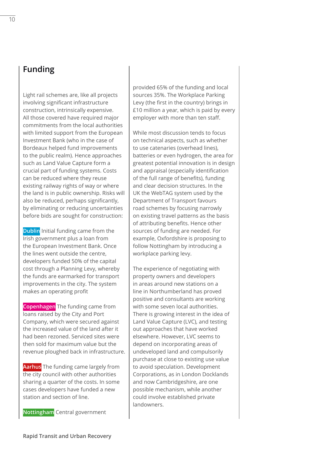# **Funding**

Light rail schemes are, like all projects involving significant infrastructure construction, intrinsically expensive. All those covered have required major commitments from the local authorities with limited support from the European Investment Bank (who in the case of Bordeaux helped fund improvements to the public realm). Hence approaches such as Land Value Capture form a crucial part of funding systems. Costs can be reduced where they reuse existing railway rights of way or where the land is in public ownership. Risks will also be reduced, perhaps significantly, by eliminating or reducing uncertainties before bids are sought for construction:

**Dublin** Initial funding came from the Irish government plus a loan from the European Investment Bank. Once the lines went outside the centre, developers funded 50% of the capital cost through a Planning Levy, whereby the funds are earmarked for transport improvements in the city. The system makes an operating profit

**Copenhagen** The funding came from loans raised by the City and Port Company, which were secured against the increased value of the land after it had been rezoned. Serviced sites were then sold for maximum value but the revenue ploughed back in infrastructure.

**Aarhus** The funding came largely from the city council with other authorities sharing a quarter of the costs. In some cases developers have funded a new station and section of line.

**Nottingham** Central government

provided 65% of the funding and local sources 35%. The Workplace Parking Levy (the first in the country) brings in £10 million a year, which is paid by every employer with more than ten staff.

While most discussion tends to focus on technical aspects, such as whether to use catenaries (overhead lines), batteries or even hydrogen, the area for greatest potential innovation is in design and appraisal (especially identification of the full range of benefits), funding and clear decision structures. In the UK the WebTAG system used by the Department of Transport favours road schemes by focusing narrowly on existing travel patterns as the basis of attributing benefits. Hence other sources of funding are needed. For example, Oxfordshire is proposing to follow Nottingham by introducing a workplace parking levy.

The experience of negotiating with property owners and developers in areas around new stations on a line in Northumberland has proved positive and consultants are working with some seven local authorities. There is growing interest in the idea of Land Value Capture (LVC), and testing out approaches that have worked elsewhere. However, LVC seems to depend on incorporating areas of undeveloped land and compulsorily purchase at close to existing use value to avoid speculation. Development Corporations, as in London Docklands and now Cambridgeshire, are one possible mechanism, while another could involve established private landowners.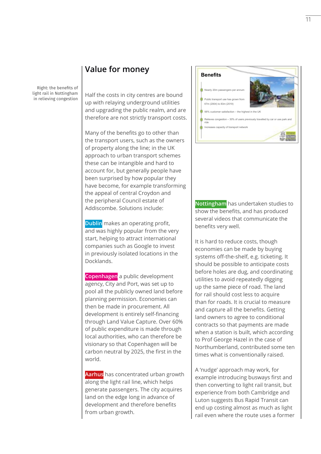# **Value for money**

Right: the benefits of light rail in Nottingham in relieving congestion

Half the costs in city centres are bound up with relaying underground utilities and upgrading the public realm, and are therefore are not strictly transport costs.

Many of the benefits go to other than the transport users, such as the owners of property along the line; in the UK approach to urban transport schemes these can be intangible and hard to account for, but generally people have been surprised by how popular they have become, for example transforming the appeal of central Croydon and the peripheral Council estate of Addiscombe. Solutions include:

**Dublin** makes an operating profit, and was highly popular from the very start, helping to attract international companies such as Google to invest in previously isolated locations in the Docklands.

**Copenhagen** a public development agency, City and Port, was set up to pool all the publicly owned land before planning permission. Economies can then be made in procurement. All development is entirely self-financing through Land Value Capture. Over 60% of public expenditure is made through local authorities, who can therefore be visionary so that Copenhagen will be carbon neutral by 2025, the first in the world.

**Aarhus** has concentrated urban growth along the light rail line, which helps generate passengers. The city acquires land on the edge long in advance of development and therefore benefits from urban growth.



**Nottingham** has undertaken studies to show the benefits, and has produced several videos that communicate the benefits very well.

It is hard to reduce costs, though economies can be made by buying systems off-the-shelf, e.g. ticketing. It should be possible to anticipate costs before holes are dug, and coordinating utilities to avoid repeatedly digging up the same piece of road. The land for rail should cost less to acquire than for roads. It is crucial to measure and capture all the benefits. Getting land owners to agree to conditional contracts so that payments are made when a station is built, which according to Prof George Hazel in the case of Northumberland, contributed some ten times what is conventionally raised.

A 'nudge' approach may work, for example introducing busways first and then converting to light rail transit, but experience from both Cambridge and Luton suggests Bus Rapid Transit can end up costing almost as much as light rail even where the route uses a former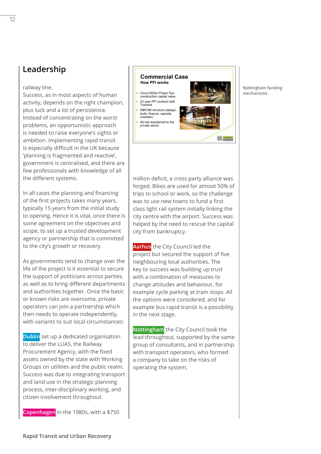# **Leadership**

railway line.

Success, as in most aspects of human activity, depends on the right champion, plus luck and a lot of persistence. Instead of concentrating on the worst problems, an opportunistic approach is needed to raise everyone's sights or ambition. Implementing rapid transit is especially difficult in the UK because 'planning is fragmented and reactive', government is centralised, and there are few professionals with knowledge of all the different systems.

In all cases the planning and financing of the first projects takes many years, typically 15 years from the initial study to opening. Hence it is vital, once there is some agreement on the objectives and scope, to set up a trusted development agency or partnership that is committed to the city's growth or recovery.

As governments tend to change over the life of the project is it essential to secure the support of politicians across parties, as well as to bring different departments and authorities together. Once the basic or known risks are overcome, private operators can join a partnership which then needs to operate independently, with variants to suit local circumstances:

**Dublin** set up a dedicated organisation to deliver the LUAS, the Railway Procurement Agency, with the fixed assets owned by the state with Working Groups on utilities and the public realm. Success was due to integrating transport and land use in the strategic planning process, inter-disciplinary working, and citizen involvement throughout.

**Copenhagen** in the 1980s, with a \$750

### **Commercial Case How PFI works**

- Circa £500m Phase Two construction capital value
- 23 year PFI contract with Tramlink
- DBFOM structure (design
- build, finance, operate, maintain) • All risk transferred to the private sector



Nottingham funding mechanisms

million deficit, a cross party alliance was forged. Bikes are used for almost 50% of trips to school or work, so the challenge was to use new towns to fund a first class light rail system initially linking the city centre with the airport. Success was helped by the need to rescue the capital city from bankruptcy.

**Aarhus** the City Council led the project but secured the support of five neighbouring local authorities. The key to success was building up trust with a combination of measures to change attitudes and behaviour, for example cycle parking at tram stops. All the options were considered, and for example bus rapid transit is a possibility in the next stage.

**Nottingham** the City Council took the lead throughout, supported by the same group of consultants, and in partnership with transport operators, who formed a company to take on the risks of operating the system.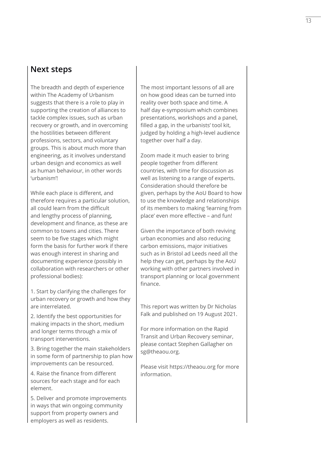# **Next steps**

The breadth and depth of experience within The Academy of Urbanism suggests that there is a role to play in supporting the creation of alliances to tackle complex issues, such as urban recovery or growth, and in overcoming the hostilities between different professions, sectors, and voluntary groups. This is about much more than engineering, as it involves understand urban design and economics as well as human behaviour, in other words 'urbanism'!

While each place is different, and therefore requires a particular solution, all could learn from the difficult and lengthy process of planning, development and finance, as these are common to towns and cities. There seem to be five stages which might form the basis for further work if there was enough interest in sharing and documenting experience (possibly in collaboration with researchers or other professional bodies):

1. Start by clarifying the challenges for urban recovery or growth and how they are interrelated.

2. Identify the best opportunities for making impacts in the short, medium and longer terms through a mix of transport interventions.

3. Bring together the main stakeholders in some form of partnership to plan how improvements can be resourced.

4. Raise the finance from different sources for each stage and for each element.

5. Deliver and promote improvements in ways that win ongoing community support from property owners and employers as well as residents.

The most important lessons of all are on how good ideas can be turned into reality over both space and time. A half day e-symposium which combines presentations, workshops and a panel, filled a gap, in the urbanists' tool kit, judged by holding a high-level audience together over half a day.

Zoom made it much easier to bring people together from different countries, with time for discussion as well as listening to a range of experts. Consideration should therefore be given, perhaps by the AoU Board to how to use the knowledge and relationships of its members to making 'learning from place' even more effective – and fun!

Given the importance of both reviving urban economies and also reducing carbon emissions, major initiatives such as in Bristol ad Leeds need all the help they can get, perhaps by the AoU working with other partners involved in transport planning or local government finance.

This report was written by Dr Nicholas Falk and published on 19 August 2021.

For more information on the Rapid Transit and Urban Recovery seminar, please contact Stephen Gallagher on sg@theaou.org.

Please visit https://theaou.org for more information.